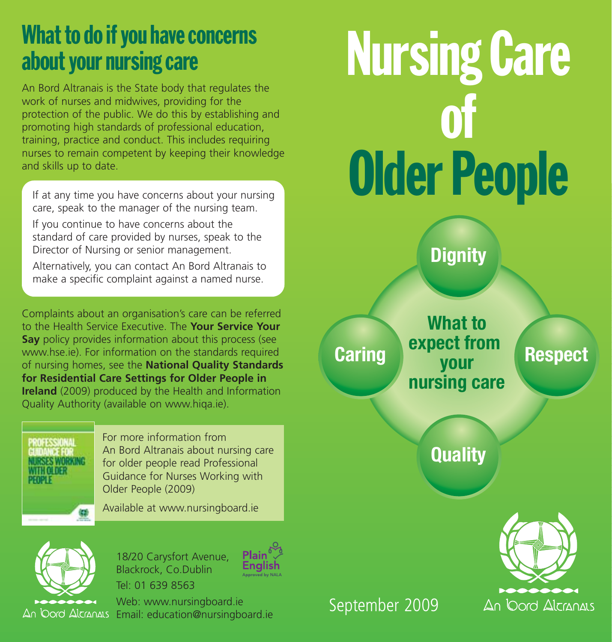# What to do if you have concerns about your nursing care

An Bord Altranais is the State body that regulates the work of nurses and midwives, providing for the protection of the public. We do this by establishing and promoting high standards of professional education, training, practice and conduct. This includes requiring nurses to remain competent by keeping their knowledge and skills up to date.

If at any time you have concerns about your nursing care, speak to the manager of the nursing team.

If you continue to have concerns about the standard of care provided by nurses, speak to the Director of Nursing or senior management.

Alternatively, you can contact An Bord Altranais to make a specific complaint against a named nurse.

Complaints about an organisation's care can be referred to the Health Service Executive. The **Your Service Your Say** policy provides information about this process (see www.hse.ie). For information on the standards required of nursing homes, see the **National Quality Standards for Residential Care Settings for Older People in Ireland** (2009) produced by the Health and Information Quality Authority (available on www.hiqa.ie).

PROFESSIONAL **NTTH OLDER PEOPLE** 

For more information from An Bord Altranais about nursing care for older people read Professional Guidance for Nurses Working with Older People (2009)

Available at www.nursingboard.ie



18/20 Carysfort Avenue, Blackrock, Co.Dublin Tel: 01 639 8563



Web: www.nursingboard.ie An Oord Alcranas Email: education@nursingboard.ie

# Nursing Care of Older People

**Dignity**

**Caring Respect What to expect from your nursing care**

**Quality**



September 2009